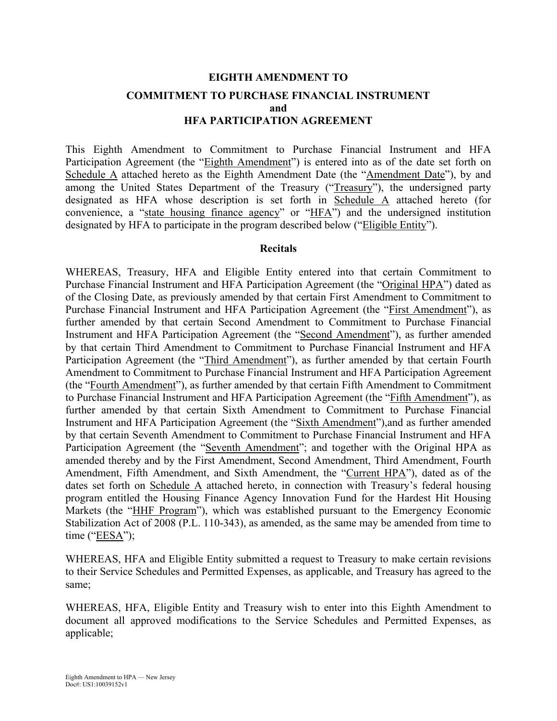# **EIGHTH AMENDMENT TO COMMITMENT TO PURCHASE FINANCIAL INSTRUMENT and HFA PARTICIPATION AGREEMENT**

This Eighth Amendment to Commitment to Purchase Financial Instrument and HFA Participation Agreement (the "Eighth Amendment") is entered into as of the date set forth on Schedule A attached hereto as the Eighth Amendment Date (the "Amendment Date"), by and among the United States Department of the Treasury ("Treasury"), the undersigned party designated as HFA whose description is set forth in Schedule A attached hereto (for convenience, a "state housing finance agency" or "HFA") and the undersigned institution designated by HFA to participate in the program described below ("Eligible Entity").

#### **Recitals**

WHEREAS, Treasury, HFA and Eligible Entity entered into that certain Commitment to Purchase Financial Instrument and HFA Participation Agreement (the "Original HPA") dated as of the Closing Date, as previously amended by that certain First Amendment to Commitment to Purchase Financial Instrument and HFA Participation Agreement (the "First Amendment"), as further amended by that certain Second Amendment to Commitment to Purchase Financial Instrument and HFA Participation Agreement (the "Second Amendment"), as further amended by that certain Third Amendment to Commitment to Purchase Financial Instrument and HFA Participation Agreement (the "Third Amendment"), as further amended by that certain Fourth Amendment to Commitment to Purchase Financial Instrument and HFA Participation Agreement (the "Fourth Amendment"), as further amended by that certain Fifth Amendment to Commitment to Purchase Financial Instrument and HFA Participation Agreement (the "Fifth Amendment"), as further amended by that certain Sixth Amendment to Commitment to Purchase Financial Instrument and HFA Participation Agreement (the "Sixth Amendment"),and as further amended by that certain Seventh Amendment to Commitment to Purchase Financial Instrument and HFA Participation Agreement (the "Seventh Amendment"; and together with the Original HPA as amended thereby and by the First Amendment, Second Amendment, Third Amendment, Fourth Amendment, Fifth Amendment, and Sixth Amendment, the "Current HPA"), dated as of the dates set forth on Schedule A attached hereto, in connection with Treasury's federal housing program entitled the Housing Finance Agency Innovation Fund for the Hardest Hit Housing Markets (the "HHF Program"), which was established pursuant to the Emergency Economic Stabilization Act of 2008 (P.L. 110-343), as amended, as the same may be amended from time to time ("EESA");

WHEREAS, HFA and Eligible Entity submitted a request to Treasury to make certain revisions to their Service Schedules and Permitted Expenses, as applicable, and Treasury has agreed to the same;

WHEREAS, HFA, Eligible Entity and Treasury wish to enter into this Eighth Amendment to document all approved modifications to the Service Schedules and Permitted Expenses, as applicable;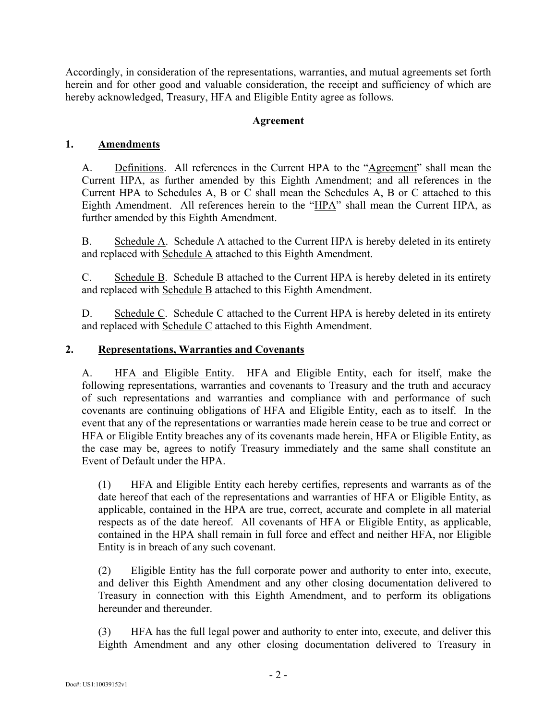Accordingly, in consideration of the representations, warranties, and mutual agreements set forth herein and for other good and valuable consideration, the receipt and sufficiency of which are hereby acknowledged, Treasury, HFA and Eligible Entity agree as follows.

#### **Agreement**

### **1. Amendments**

A. Definitions. All references in the Current HPA to the "Agreement" shall mean the Current HPA, as further amended by this Eighth Amendment; and all references in the Current HPA to Schedules A, B or C shall mean the Schedules A, B or C attached to this Eighth Amendment. All references herein to the "HPA" shall mean the Current HPA, as further amended by this Eighth Amendment.

B. Schedule A. Schedule A attached to the Current HPA is hereby deleted in its entirety and replaced with Schedule A attached to this Eighth Amendment.

C. Schedule B. Schedule B attached to the Current HPA is hereby deleted in its entirety and replaced with Schedule B attached to this Eighth Amendment.

D. Schedule C. Schedule C attached to the Current HPA is hereby deleted in its entirety and replaced with Schedule C attached to this Eighth Amendment.

### **2. Representations, Warranties and Covenants**

A. HFA and Eligible Entity. HFA and Eligible Entity, each for itself, make the following representations, warranties and covenants to Treasury and the truth and accuracy of such representations and warranties and compliance with and performance of such covenants are continuing obligations of HFA and Eligible Entity, each as to itself. In the event that any of the representations or warranties made herein cease to be true and correct or HFA or Eligible Entity breaches any of its covenants made herein, HFA or Eligible Entity, as the case may be, agrees to notify Treasury immediately and the same shall constitute an Event of Default under the HPA.

(1) HFA and Eligible Entity each hereby certifies, represents and warrants as of the date hereof that each of the representations and warranties of HFA or Eligible Entity, as applicable, contained in the HPA are true, correct, accurate and complete in all material respects as of the date hereof. All covenants of HFA or Eligible Entity, as applicable, contained in the HPA shall remain in full force and effect and neither HFA, nor Eligible Entity is in breach of any such covenant.

(2) Eligible Entity has the full corporate power and authority to enter into, execute, and deliver this Eighth Amendment and any other closing documentation delivered to Treasury in connection with this Eighth Amendment, and to perform its obligations hereunder and thereunder

(3) HFA has the full legal power and authority to enter into, execute, and deliver this Eighth Amendment and any other closing documentation delivered to Treasury in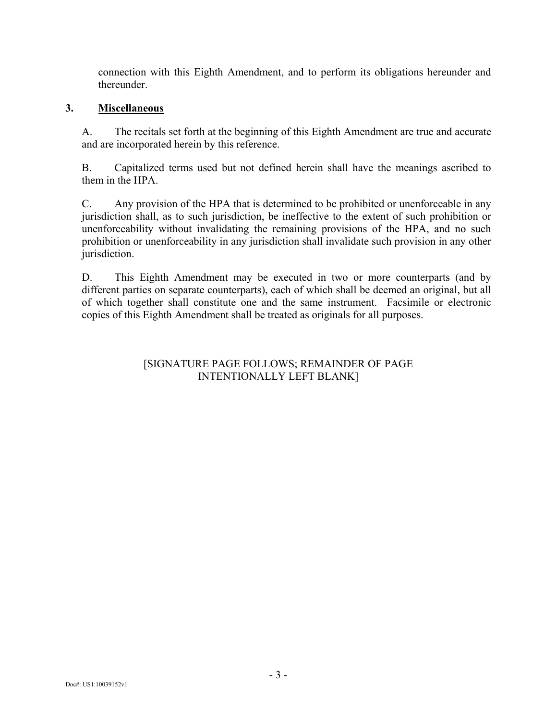connection with this Eighth Amendment, and to perform its obligations hereunder and thereunder.

#### **3. Miscellaneous**

A. The recitals set forth at the beginning of this Eighth Amendment are true and accurate and are incorporated herein by this reference.

B. Capitalized terms used but not defined herein shall have the meanings ascribed to them in the HPA.

C. Any provision of the HPA that is determined to be prohibited or unenforceable in any jurisdiction shall, as to such jurisdiction, be ineffective to the extent of such prohibition or unenforceability without invalidating the remaining provisions of the HPA, and no such prohibition or unenforceability in any jurisdiction shall invalidate such provision in any other jurisdiction.

D. This Eighth Amendment may be executed in two or more counterparts (and by different parties on separate counterparts), each of which shall be deemed an original, but all of which together shall constitute one and the same instrument. Facsimile or electronic copies of this Eighth Amendment shall be treated as originals for all purposes.

### [SIGNATURE PAGE FOLLOWS; REMAINDER OF PAGE INTENTIONALLY LEFT BLANK]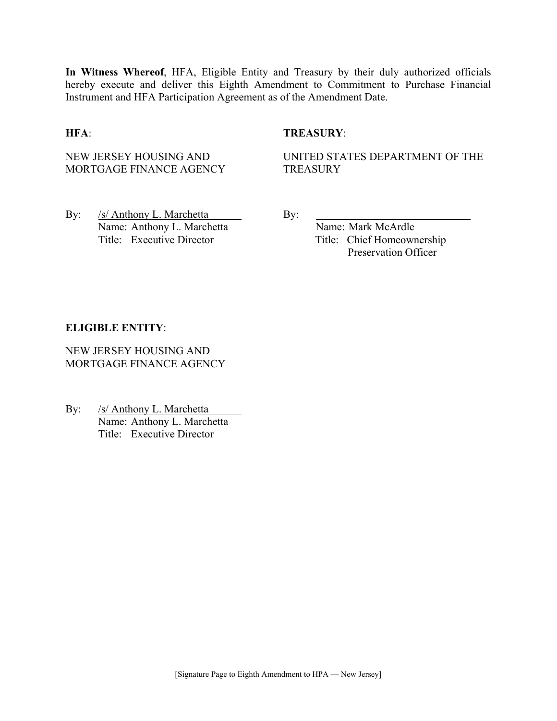**In Witness Whereof**, HFA, Eligible Entity and Treasury by their duly authorized officials hereby execute and deliver this Eighth Amendment to Commitment to Purchase Financial Instrument and HFA Participation Agreement as of the Amendment Date.

#### **HFA**: **TREASURY**:

NEW JERSEY HOUSING AND MORTGAGE FINANCE AGENCY UNITED STATES DEPARTMENT OF THE **TREASURY** 

By: /s/ Anthony L. Marchetta By: Name: Anthony L. Marchetta Name: Mark McArdle Title: Executive Director Title: Chief Homeownership

Preservation Officer

#### **ELIGIBLE ENTITY**:

NEW JERSEY HOUSING AND MORTGAGE FINANCE AGENCY

By: /s/ Anthony L. Marchetta Name: Anthony L. Marchetta Title: Executive Director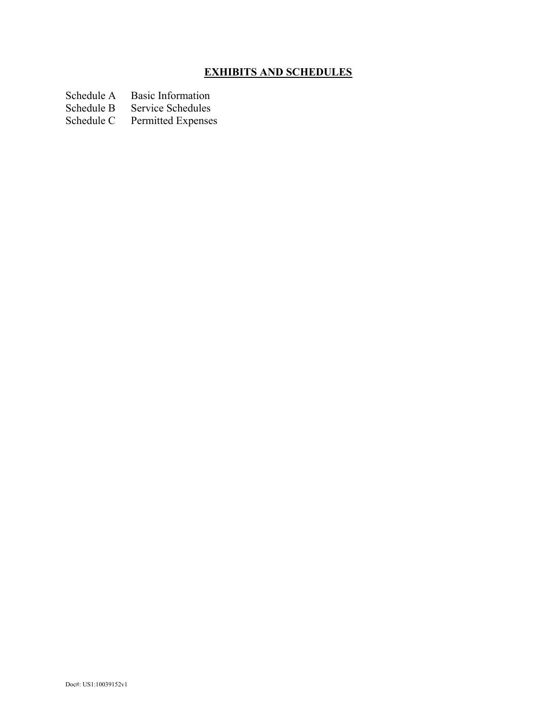# **EXHIBITS AND SCHEDULES**

Schedule A Basic Information<br>Schedule B Service Schedules

Schedule B Service Schedules<br>Schedule C Permitted Expenses

Permitted Expenses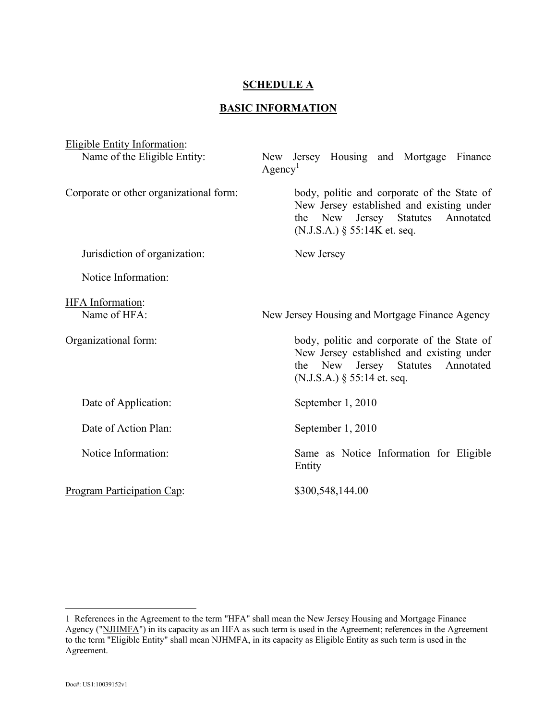#### **SCHEDULE A**

#### **BASIC INFORMATION**

| <b>Eligible Entity Information:</b>                                                                                                                                                       |                                                                                                                                                                    |  |
|-------------------------------------------------------------------------------------------------------------------------------------------------------------------------------------------|--------------------------------------------------------------------------------------------------------------------------------------------------------------------|--|
| Name of the Eligible Entity:                                                                                                                                                              | New Jersey Housing and Mortgage<br>Finance<br>Agency <sup>1</sup>                                                                                                  |  |
| Corporate or other organizational form:                                                                                                                                                   | body, politic and corporate of the State of<br>New Jersey established and existing under<br>the New Jersey Statutes<br>Annotated<br>$(N.J.S.A.)$ § 55:14K et. seq. |  |
| Jurisdiction of organization:                                                                                                                                                             | New Jersey                                                                                                                                                         |  |
| Notice Information:                                                                                                                                                                       |                                                                                                                                                                    |  |
| HFA Information:<br>Name of HFA:                                                                                                                                                          | New Jersey Housing and Mortgage Finance Agency                                                                                                                     |  |
| body, politic and corporate of the State of<br>Organizational form:<br>New Jersey established and existing under<br>the New Jersey Statutes<br>Annotated<br>$(N.J.S.A.)$ § 55:14 et. seq. |                                                                                                                                                                    |  |
| Date of Application:                                                                                                                                                                      | September 1, 2010                                                                                                                                                  |  |
| Date of Action Plan:                                                                                                                                                                      | September 1, 2010                                                                                                                                                  |  |
| Notice Information:<br>Same as Notice Information for Eligible<br>Entity                                                                                                                  |                                                                                                                                                                    |  |
| Program Participation Cap:                                                                                                                                                                | \$300,548,144.00                                                                                                                                                   |  |

 $\overline{a}$ 

<sup>1</sup> References in the Agreement to the term "HFA" shall mean the New Jersey Housing and Mortgage Finance Agency ("NJHMFA") in its capacity as an HFA as such term is used in the Agreement; references in the Agreement to the term "Eligible Entity" shall mean NJHMFA, in its capacity as Eligible Entity as such term is used in the Agreement.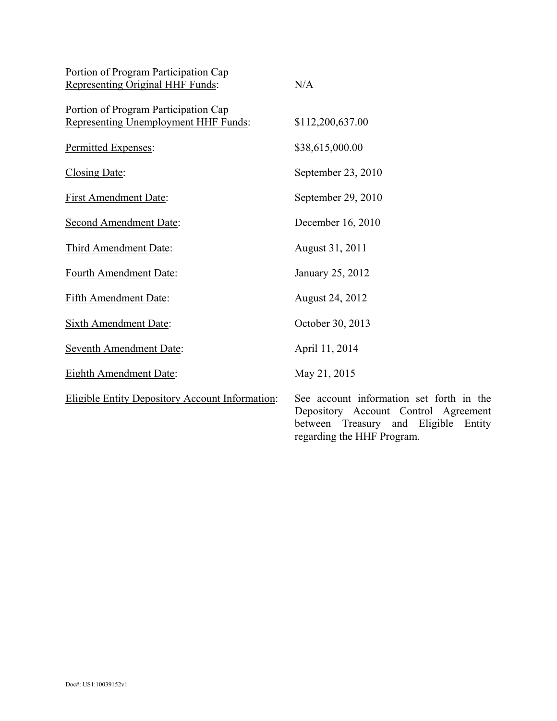| Portion of Program Participation Cap<br>Representing Original HHF Funds:     | N/A                                                                                                                            |
|------------------------------------------------------------------------------|--------------------------------------------------------------------------------------------------------------------------------|
| Portion of Program Participation Cap<br>Representing Unemployment HHF Funds: | \$112,200,637.00                                                                                                               |
| Permitted Expenses:                                                          | \$38,615,000.00                                                                                                                |
| Closing Date:                                                                | September 23, 2010                                                                                                             |
| <b>First Amendment Date:</b>                                                 | September 29, 2010                                                                                                             |
| <b>Second Amendment Date:</b>                                                | December 16, 2010                                                                                                              |
| Third Amendment Date:                                                        | August 31, 2011                                                                                                                |
| Fourth Amendment Date:                                                       | January 25, 2012                                                                                                               |
| Fifth Amendment Date:                                                        | August 24, 2012                                                                                                                |
| Sixth Amendment Date:                                                        | October 30, 2013                                                                                                               |
| <b>Seventh Amendment Date:</b>                                               | April 11, 2014                                                                                                                 |
| <b>Eighth Amendment Date:</b>                                                | May 21, 2015                                                                                                                   |
| <b>Eligible Entity Depository Account Information:</b>                       | See account information set forth in the<br>Depository Account Control Agreement<br>Eligible<br>between Treasury and<br>Entity |

regarding the HHF Program.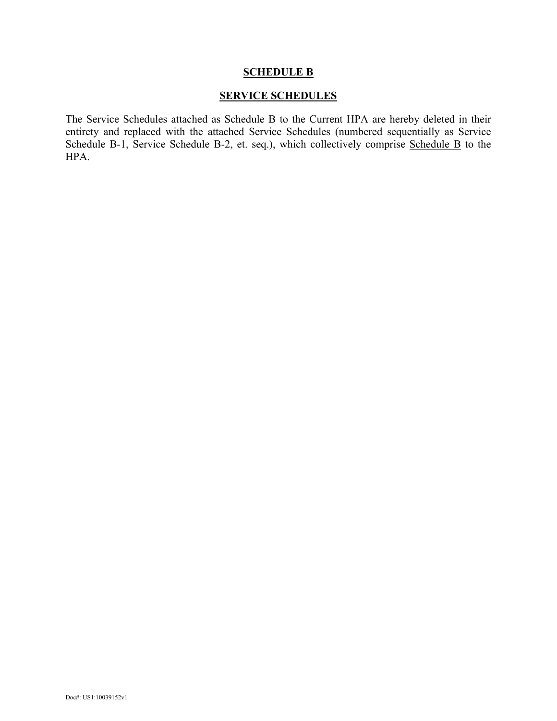#### **SCHEDULE B**

#### **SERVICE SCHEDULES**

The Service Schedules attached as Schedule B to the Current HPA are hereby deleted in their entirety and replaced with the attached Service Schedules (numbered sequentially as Service Schedule B-1, Service Schedule B-2, et. seq.), which collectively comprise Schedule B to the HPA.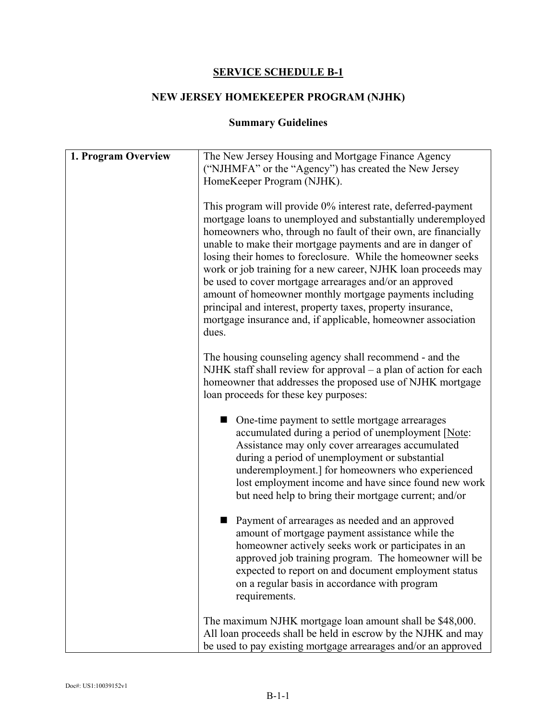## **SERVICE SCHEDULE B-1**

# **NEW JERSEY HOMEKEEPER PROGRAM (NJHK)**

# **Summary Guidelines**

| 1. Program Overview | The New Jersey Housing and Mortgage Finance Agency                                                                                                                                                                                                                                                                                                                                                                                                                                                                                                                                                                                                  |  |
|---------------------|-----------------------------------------------------------------------------------------------------------------------------------------------------------------------------------------------------------------------------------------------------------------------------------------------------------------------------------------------------------------------------------------------------------------------------------------------------------------------------------------------------------------------------------------------------------------------------------------------------------------------------------------------------|--|
|                     | ("NJHMFA" or the "Agency") has created the New Jersey                                                                                                                                                                                                                                                                                                                                                                                                                                                                                                                                                                                               |  |
|                     | HomeKeeper Program (NJHK).                                                                                                                                                                                                                                                                                                                                                                                                                                                                                                                                                                                                                          |  |
|                     | This program will provide 0% interest rate, deferred-payment<br>mortgage loans to unemployed and substantially underemployed<br>homeowners who, through no fault of their own, are financially<br>unable to make their mortgage payments and are in danger of<br>losing their homes to foreclosure. While the homeowner seeks<br>work or job training for a new career, NJHK loan proceeds may<br>be used to cover mortgage arrearages and/or an approved<br>amount of homeowner monthly mortgage payments including<br>principal and interest, property taxes, property insurance,<br>mortgage insurance and, if applicable, homeowner association |  |
|                     | dues.                                                                                                                                                                                                                                                                                                                                                                                                                                                                                                                                                                                                                                               |  |
|                     | The housing counseling agency shall recommend - and the<br>NJHK staff shall review for approval - a plan of action for each<br>homeowner that addresses the proposed use of NJHK mortgage<br>loan proceeds for these key purposes:                                                                                                                                                                                                                                                                                                                                                                                                                  |  |
|                     | • One-time payment to settle mortgage arrearages<br>accumulated during a period of unemployment [Note:<br>Assistance may only cover arrearages accumulated<br>during a period of unemployment or substantial<br>underemployment.] for homeowners who experienced<br>lost employment income and have since found new work<br>but need help to bring their mortgage current; and/or                                                                                                                                                                                                                                                                   |  |
|                     | Payment of arrearages as needed and an approved<br>amount of mortgage payment assistance while the<br>homeowner actively seeks work or participates in an<br>approved job training program. The homeowner will be<br>expected to report on and document employment status<br>on a regular basis in accordance with program<br>requirements.                                                                                                                                                                                                                                                                                                         |  |
|                     | The maximum NJHK mortgage loan amount shall be \$48,000.<br>All loan proceeds shall be held in escrow by the NJHK and may<br>be used to pay existing mortgage arrearages and/or an approved                                                                                                                                                                                                                                                                                                                                                                                                                                                         |  |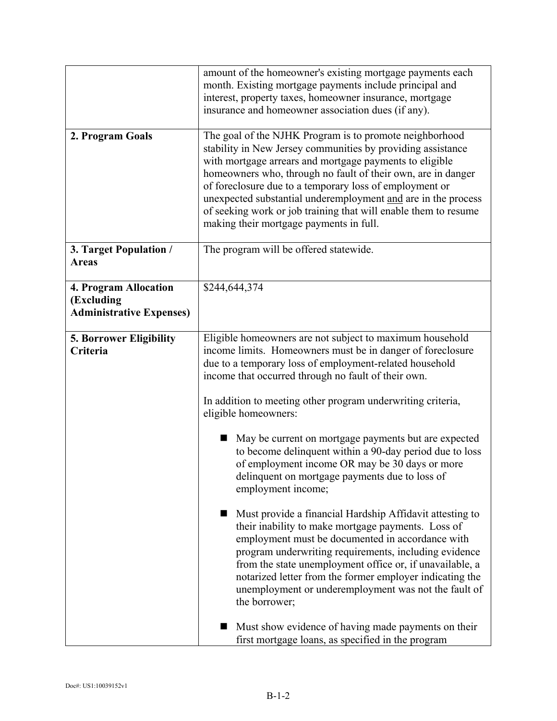|                                                                        | amount of the homeowner's existing mortgage payments each<br>month. Existing mortgage payments include principal and<br>interest, property taxes, homeowner insurance, mortgage<br>insurance and homeowner association dues (if any).                                                                                                                                                                                                                                                                                                                                                                                                                                                                                                                                                                                                                                                                                                                                                                                                                                                                                    |
|------------------------------------------------------------------------|--------------------------------------------------------------------------------------------------------------------------------------------------------------------------------------------------------------------------------------------------------------------------------------------------------------------------------------------------------------------------------------------------------------------------------------------------------------------------------------------------------------------------------------------------------------------------------------------------------------------------------------------------------------------------------------------------------------------------------------------------------------------------------------------------------------------------------------------------------------------------------------------------------------------------------------------------------------------------------------------------------------------------------------------------------------------------------------------------------------------------|
| 2. Program Goals                                                       | The goal of the NJHK Program is to promote neighborhood<br>stability in New Jersey communities by providing assistance<br>with mortgage arrears and mortgage payments to eligible<br>homeowners who, through no fault of their own, are in danger<br>of foreclosure due to a temporary loss of employment or<br>unexpected substantial underemployment and are in the process<br>of seeking work or job training that will enable them to resume<br>making their mortgage payments in full.                                                                                                                                                                                                                                                                                                                                                                                                                                                                                                                                                                                                                              |
| 3. Target Population /<br><b>Areas</b>                                 | The program will be offered statewide.                                                                                                                                                                                                                                                                                                                                                                                                                                                                                                                                                                                                                                                                                                                                                                                                                                                                                                                                                                                                                                                                                   |
| 4. Program Allocation<br>(Excluding<br><b>Administrative Expenses)</b> | \$244,644,374                                                                                                                                                                                                                                                                                                                                                                                                                                                                                                                                                                                                                                                                                                                                                                                                                                                                                                                                                                                                                                                                                                            |
| <b>5. Borrower Eligibility</b><br>Criteria                             | Eligible homeowners are not subject to maximum household<br>income limits. Homeowners must be in danger of foreclosure<br>due to a temporary loss of employment-related household<br>income that occurred through no fault of their own.<br>In addition to meeting other program underwriting criteria,<br>eligible homeowners:<br>May be current on mortgage payments but are expected<br>to become delinquent within a 90-day period due to loss<br>of employment income OR may be 30 days or more<br>delinquent on mortgage payments due to loss of<br>employment income;<br>Must provide a financial Hardship Affidavit attesting to<br>their inability to make mortgage payments. Loss of<br>employment must be documented in accordance with<br>program underwriting requirements, including evidence<br>from the state unemployment office or, if unavailable, a<br>notarized letter from the former employer indicating the<br>unemployment or underemployment was not the fault of<br>the borrower;<br>Must show evidence of having made payments on their<br>first mortgage loans, as specified in the program |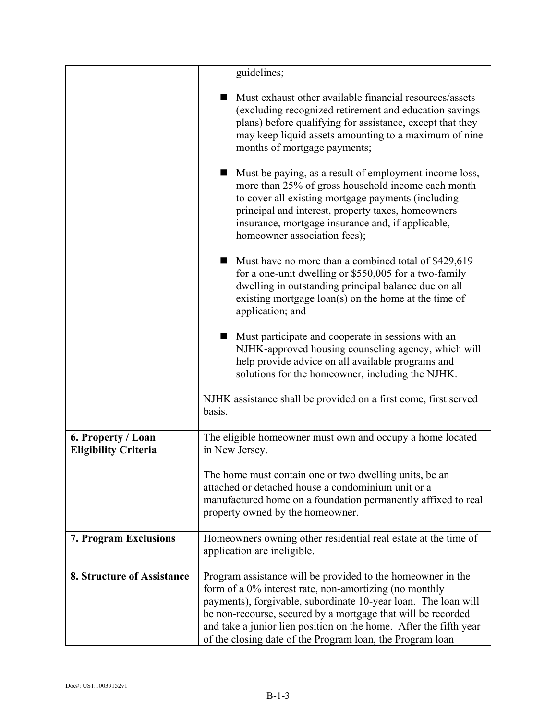|                                                   | guidelines;                                                                                                                                                                                                                                                                                                                                                                               |  |
|---------------------------------------------------|-------------------------------------------------------------------------------------------------------------------------------------------------------------------------------------------------------------------------------------------------------------------------------------------------------------------------------------------------------------------------------------------|--|
|                                                   | Must exhaust other available financial resources/assets<br>(excluding recognized retirement and education savings)<br>plans) before qualifying for assistance, except that they<br>may keep liquid assets amounting to a maximum of nine<br>months of mortgage payments;                                                                                                                  |  |
|                                                   | Must be paying, as a result of employment income loss,<br>more than 25% of gross household income each month<br>to cover all existing mortgage payments (including<br>principal and interest, property taxes, homeowners<br>insurance, mortgage insurance and, if applicable,<br>homeowner association fees);                                                                             |  |
|                                                   | Must have no more than a combined total of \$429,619<br>for a one-unit dwelling or \$550,005 for a two-family<br>dwelling in outstanding principal balance due on all<br>existing mortgage loan(s) on the home at the time of<br>application; and                                                                                                                                         |  |
|                                                   | Must participate and cooperate in sessions with an<br>NJHK-approved housing counseling agency, which will<br>help provide advice on all available programs and<br>solutions for the homeowner, including the NJHK.                                                                                                                                                                        |  |
|                                                   | NJHK assistance shall be provided on a first come, first served<br>basis.                                                                                                                                                                                                                                                                                                                 |  |
| 6. Property / Loan<br><b>Eligibility Criteria</b> | The eligible homeowner must own and occupy a home located<br>in New Jersey.                                                                                                                                                                                                                                                                                                               |  |
|                                                   | The home must contain one or two dwelling units, be an<br>attached or detached house a condominium unit or a<br>manufactured home on a foundation permanently affixed to real<br>property owned by the homeowner.                                                                                                                                                                         |  |
| <b>7. Program Exclusions</b>                      | Homeowners owning other residential real estate at the time of<br>application are ineligible.                                                                                                                                                                                                                                                                                             |  |
| 8. Structure of Assistance                        | Program assistance will be provided to the homeowner in the<br>form of a 0% interest rate, non-amortizing (no monthly<br>payments), forgivable, subordinate 10-year loan. The loan will<br>be non-recourse, secured by a mortgage that will be recorded<br>and take a junior lien position on the home. After the fifth year<br>of the closing date of the Program loan, the Program loan |  |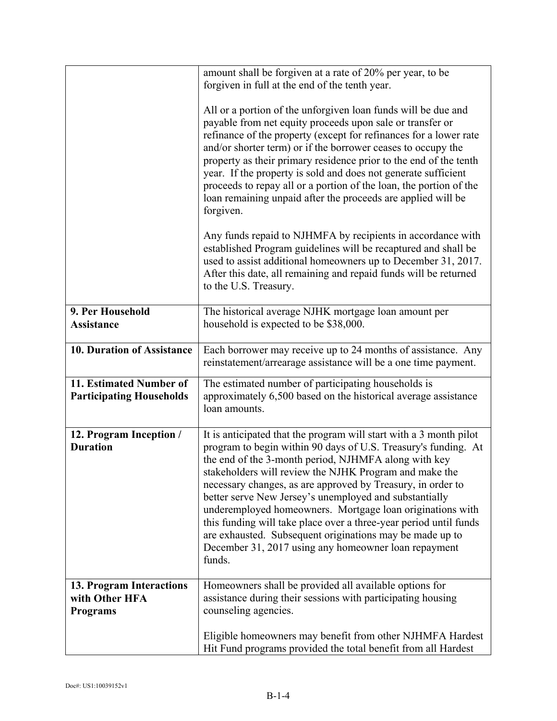|                                                               | amount shall be forgiven at a rate of 20% per year, to be<br>forgiven in full at the end of the tenth year.                                                                                                                                                                                                                                                                                                                                                                                                                                                                                                                                     |
|---------------------------------------------------------------|-------------------------------------------------------------------------------------------------------------------------------------------------------------------------------------------------------------------------------------------------------------------------------------------------------------------------------------------------------------------------------------------------------------------------------------------------------------------------------------------------------------------------------------------------------------------------------------------------------------------------------------------------|
|                                                               | All or a portion of the unforgiven loan funds will be due and<br>payable from net equity proceeds upon sale or transfer or<br>refinance of the property (except for refinances for a lower rate<br>and/or shorter term) or if the borrower ceases to occupy the<br>property as their primary residence prior to the end of the tenth<br>year. If the property is sold and does not generate sufficient<br>proceeds to repay all or a portion of the loan, the portion of the<br>loan remaining unpaid after the proceeds are applied will be<br>forgiven.                                                                                       |
|                                                               | Any funds repaid to NJHMFA by recipients in accordance with<br>established Program guidelines will be recaptured and shall be<br>used to assist additional homeowners up to December 31, 2017.<br>After this date, all remaining and repaid funds will be returned<br>to the U.S. Treasury.                                                                                                                                                                                                                                                                                                                                                     |
| 9. Per Household<br><b>Assistance</b>                         | The historical average NJHK mortgage loan amount per<br>household is expected to be \$38,000.                                                                                                                                                                                                                                                                                                                                                                                                                                                                                                                                                   |
| 10. Duration of Assistance                                    | Each borrower may receive up to 24 months of assistance. Any<br>reinstatement/arrearage assistance will be a one time payment.                                                                                                                                                                                                                                                                                                                                                                                                                                                                                                                  |
| 11. Estimated Number of<br><b>Participating Households</b>    | The estimated number of participating households is<br>approximately 6,500 based on the historical average assistance<br>loan amounts.                                                                                                                                                                                                                                                                                                                                                                                                                                                                                                          |
| 12. Program Inception /<br><b>Duration</b>                    | It is anticipated that the program will start with a 3 month pilot<br>program to begin within 90 days of U.S. Treasury's funding. At<br>the end of the 3-month period, NJHMFA along with key<br>stakeholders will review the NJHK Program and make the<br>necessary changes, as are approved by Treasury, in order to<br>better serve New Jersey's unemployed and substantially<br>underemployed homeowners. Mortgage loan originations with<br>this funding will take place over a three-year period until funds<br>are exhausted. Subsequent originations may be made up to<br>December 31, 2017 using any homeowner loan repayment<br>funds. |
| 13. Program Interactions<br>with Other HFA<br><b>Programs</b> | Homeowners shall be provided all available options for<br>assistance during their sessions with participating housing<br>counseling agencies.                                                                                                                                                                                                                                                                                                                                                                                                                                                                                                   |
|                                                               | Eligible homeowners may benefit from other NJHMFA Hardest<br>Hit Fund programs provided the total benefit from all Hardest                                                                                                                                                                                                                                                                                                                                                                                                                                                                                                                      |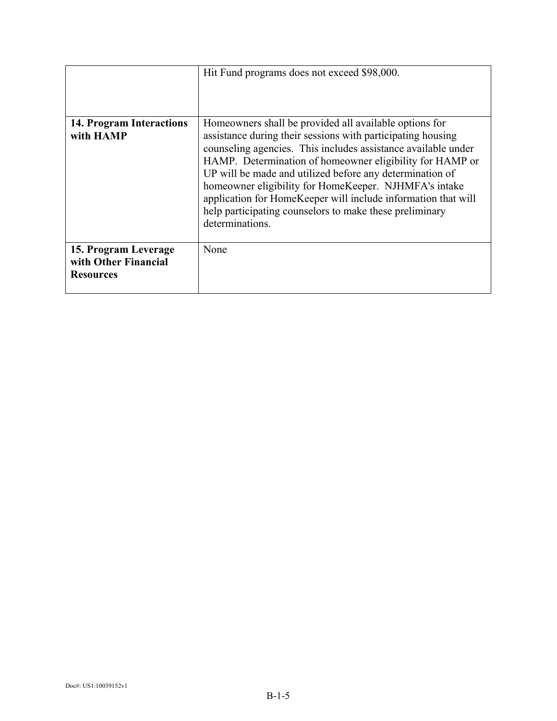|                                                                  | Hit Fund programs does not exceed \$98,000.                                                                                                                                                                                                                                                                                                                                                                                                                                                                            |
|------------------------------------------------------------------|------------------------------------------------------------------------------------------------------------------------------------------------------------------------------------------------------------------------------------------------------------------------------------------------------------------------------------------------------------------------------------------------------------------------------------------------------------------------------------------------------------------------|
| 14. Program Interactions<br>with HAMP                            | Homeowners shall be provided all available options for<br>assistance during their sessions with participating housing<br>counseling agencies. This includes assistance available under<br>HAMP. Determination of homeowner eligibility for HAMP or<br>UP will be made and utilized before any determination of<br>homeowner eligibility for HomeKeeper. NJHMFA's intake<br>application for HomeKeeper will include information that will<br>help participating counselors to make these preliminary<br>determinations. |
| 15. Program Leverage<br>with Other Financial<br><b>Resources</b> | None                                                                                                                                                                                                                                                                                                                                                                                                                                                                                                                   |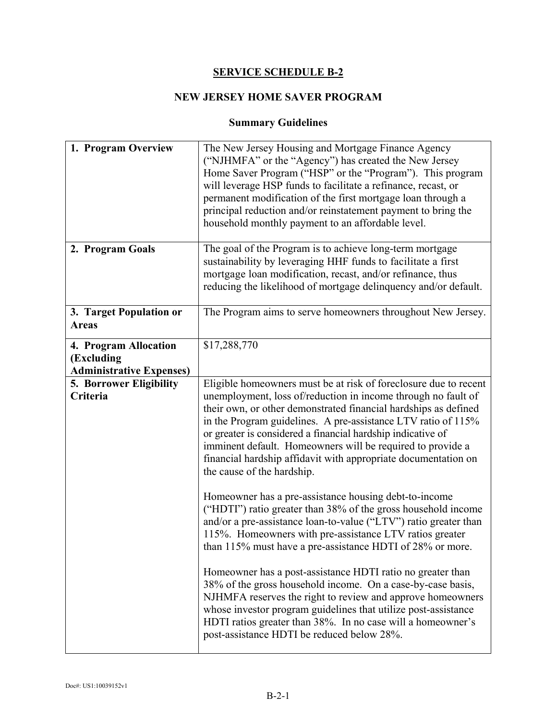## **SERVICE SCHEDULE B-2**

# **NEW JERSEY HOME SAVER PROGRAM**

# **Summary Guidelines**

| 1. Program Overview                                                    | The New Jersey Housing and Mortgage Finance Agency<br>("NJHMFA" or the "Agency") has created the New Jersey<br>Home Saver Program ("HSP" or the "Program"). This program<br>will leverage HSP funds to facilitate a refinance, recast, or<br>permanent modification of the first mortgage loan through a<br>principal reduction and/or reinstatement payment to bring the<br>household monthly payment to an affordable level.                                                                     |
|------------------------------------------------------------------------|----------------------------------------------------------------------------------------------------------------------------------------------------------------------------------------------------------------------------------------------------------------------------------------------------------------------------------------------------------------------------------------------------------------------------------------------------------------------------------------------------|
| 2. Program Goals                                                       | The goal of the Program is to achieve long-term mortgage<br>sustainability by leveraging HHF funds to facilitate a first<br>mortgage loan modification, recast, and/or refinance, thus<br>reducing the likelihood of mortgage delinquency and/or default.                                                                                                                                                                                                                                          |
| 3. Target Population or<br><b>Areas</b>                                | The Program aims to serve homeowners throughout New Jersey.                                                                                                                                                                                                                                                                                                                                                                                                                                        |
| 4. Program Allocation<br>(Excluding<br><b>Administrative Expenses)</b> | \$17,288,770                                                                                                                                                                                                                                                                                                                                                                                                                                                                                       |
| 5. Borrower Eligibility<br>Criteria                                    | Eligible homeowners must be at risk of foreclosure due to recent<br>unemployment, loss of/reduction in income through no fault of<br>their own, or other demonstrated financial hardships as defined<br>in the Program guidelines. A pre-assistance LTV ratio of 115%<br>or greater is considered a financial hardship indicative of<br>imminent default. Homeowners will be required to provide a<br>financial hardship affidavit with appropriate documentation on<br>the cause of the hardship. |
|                                                                        | Homeowner has a pre-assistance housing debt-to-income<br>("HDTI") ratio greater than 38% of the gross household income<br>and/or a pre-assistance loan-to-value ("LTV") ratio greater than<br>115%. Homeowners with pre-assistance LTV ratios greater<br>than 115% must have a pre-assistance HDTI of 28% or more.                                                                                                                                                                                 |
|                                                                        | Homeowner has a post-assistance HDTI ratio no greater than<br>38% of the gross household income. On a case-by-case basis,<br>NJHMFA reserves the right to review and approve homeowners<br>whose investor program guidelines that utilize post-assistance<br>HDTI ratios greater than 38%. In no case will a homeowner's<br>post-assistance HDTI be reduced below 28%.                                                                                                                             |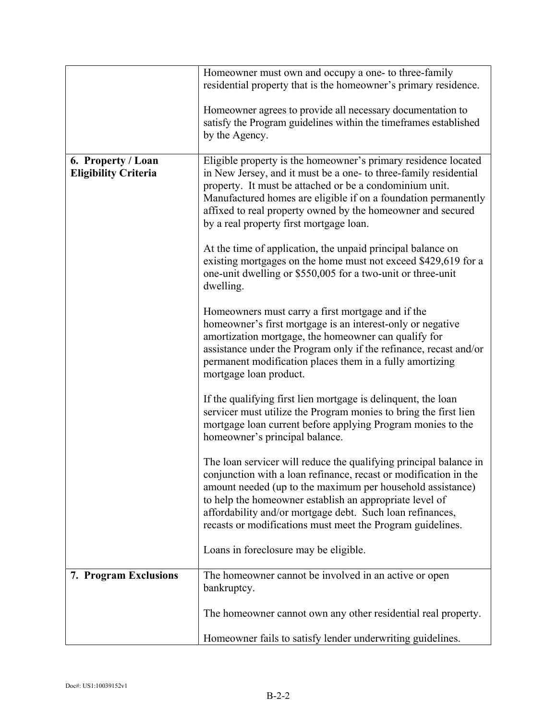|                                                   | Homeowner must own and occupy a one- to three-family<br>residential property that is the homeowner's primary residence.                                                                                                                                                                                                                                                                   |
|---------------------------------------------------|-------------------------------------------------------------------------------------------------------------------------------------------------------------------------------------------------------------------------------------------------------------------------------------------------------------------------------------------------------------------------------------------|
|                                                   |                                                                                                                                                                                                                                                                                                                                                                                           |
|                                                   | Homeowner agrees to provide all necessary documentation to<br>satisfy the Program guidelines within the timeframes established<br>by the Agency.                                                                                                                                                                                                                                          |
| 6. Property / Loan<br><b>Eligibility Criteria</b> | Eligible property is the homeowner's primary residence located<br>in New Jersey, and it must be a one- to three-family residential<br>property. It must be attached or be a condominium unit.<br>Manufactured homes are eligible if on a foundation permanently<br>affixed to real property owned by the homeowner and secured<br>by a real property first mortgage loan.                 |
|                                                   | At the time of application, the unpaid principal balance on<br>existing mortgages on the home must not exceed \$429,619 for a<br>one-unit dwelling or \$550,005 for a two-unit or three-unit<br>dwelling.                                                                                                                                                                                 |
|                                                   | Homeowners must carry a first mortgage and if the<br>homeowner's first mortgage is an interest-only or negative<br>amortization mortgage, the homeowner can qualify for<br>assistance under the Program only if the refinance, recast and/or<br>permanent modification places them in a fully amortizing<br>mortgage loan product.                                                        |
|                                                   | If the qualifying first lien mortgage is delinquent, the loan<br>servicer must utilize the Program monies to bring the first lien<br>mortgage loan current before applying Program monies to the<br>homeowner's principal balance.                                                                                                                                                        |
|                                                   | The loan servicer will reduce the qualifying principal balance in<br>conjunction with a loan refinance, recast or modification in the<br>amount needed (up to the maximum per household assistance)<br>to help the homeowner establish an appropriate level of<br>affordability and/or mortgage debt. Such loan refinances,<br>recasts or modifications must meet the Program guidelines. |
|                                                   | Loans in foreclosure may be eligible.                                                                                                                                                                                                                                                                                                                                                     |
| 7. Program Exclusions                             | The homeowner cannot be involved in an active or open<br>bankruptcy.                                                                                                                                                                                                                                                                                                                      |
|                                                   | The homeowner cannot own any other residential real property.                                                                                                                                                                                                                                                                                                                             |
|                                                   | Homeowner fails to satisfy lender underwriting guidelines.                                                                                                                                                                                                                                                                                                                                |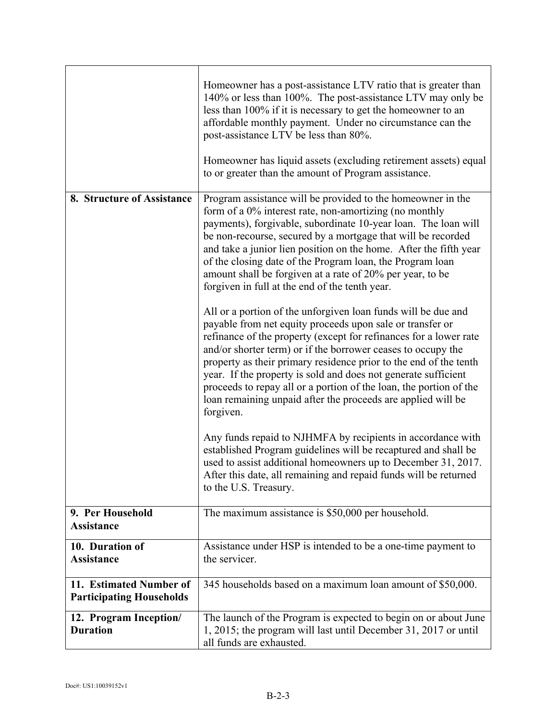|                                                            | Homeowner has a post-assistance LTV ratio that is greater than<br>140% or less than 100%. The post-assistance LTV may only be<br>less than 100% if it is necessary to get the homeowner to an<br>affordable monthly payment. Under no circumstance can the<br>post-assistance LTV be less than 80%.<br>Homeowner has liquid assets (excluding retirement assets) equal<br>to or greater than the amount of Program assistance.                                                                                                                            |
|------------------------------------------------------------|-----------------------------------------------------------------------------------------------------------------------------------------------------------------------------------------------------------------------------------------------------------------------------------------------------------------------------------------------------------------------------------------------------------------------------------------------------------------------------------------------------------------------------------------------------------|
| 8. Structure of Assistance                                 | Program assistance will be provided to the homeowner in the<br>form of a 0% interest rate, non-amortizing (no monthly<br>payments), forgivable, subordinate 10-year loan. The loan will<br>be non-recourse, secured by a mortgage that will be recorded<br>and take a junior lien position on the home. After the fifth year<br>of the closing date of the Program loan, the Program loan<br>amount shall be forgiven at a rate of 20% per year, to be<br>forgiven in full at the end of the tenth year.                                                  |
|                                                            | All or a portion of the unforgiven loan funds will be due and<br>payable from net equity proceeds upon sale or transfer or<br>refinance of the property (except for refinances for a lower rate<br>and/or shorter term) or if the borrower ceases to occupy the<br>property as their primary residence prior to the end of the tenth<br>year. If the property is sold and does not generate sufficient<br>proceeds to repay all or a portion of the loan, the portion of the<br>loan remaining unpaid after the proceeds are applied will be<br>forgiven. |
|                                                            | Any funds repaid to NJHMFA by recipients in accordance with<br>established Program guidelines will be recaptured and shall be<br>used to assist additional homeowners up to December 31, 2017.<br>After this date, all remaining and repaid funds will be returned<br>to the U.S. Treasury.                                                                                                                                                                                                                                                               |
| 9. Per Household<br><b>Assistance</b>                      | The maximum assistance is \$50,000 per household.                                                                                                                                                                                                                                                                                                                                                                                                                                                                                                         |
| 10. Duration of<br><b>Assistance</b>                       | Assistance under HSP is intended to be a one-time payment to<br>the servicer.                                                                                                                                                                                                                                                                                                                                                                                                                                                                             |
| 11. Estimated Number of<br><b>Participating Households</b> | 345 households based on a maximum loan amount of \$50,000.                                                                                                                                                                                                                                                                                                                                                                                                                                                                                                |
| 12. Program Inception/<br><b>Duration</b>                  | The launch of the Program is expected to begin on or about June<br>1, 2015; the program will last until December 31, 2017 or until<br>all funds are exhausted.                                                                                                                                                                                                                                                                                                                                                                                            |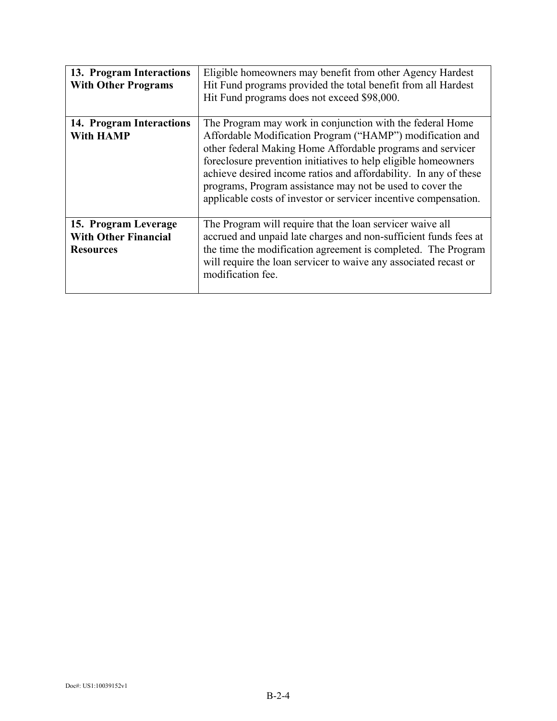| 13. Program Interactions<br><b>With Other Programs</b>                  | Eligible homeowners may benefit from other Agency Hardest<br>Hit Fund programs provided the total benefit from all Hardest<br>Hit Fund programs does not exceed \$98,000.                                                                                                                                                                                                                                                                                   |  |
|-------------------------------------------------------------------------|-------------------------------------------------------------------------------------------------------------------------------------------------------------------------------------------------------------------------------------------------------------------------------------------------------------------------------------------------------------------------------------------------------------------------------------------------------------|--|
| 14. Program Interactions<br><b>With HAMP</b>                            | The Program may work in conjunction with the federal Home<br>Affordable Modification Program ("HAMP") modification and<br>other federal Making Home Affordable programs and servicer<br>foreclosure prevention initiatives to help eligible homeowners<br>achieve desired income ratios and affordability. In any of these<br>programs, Program assistance may not be used to cover the<br>applicable costs of investor or servicer incentive compensation. |  |
| 15. Program Leverage<br><b>With Other Financial</b><br><b>Resources</b> | The Program will require that the loan servicer waive all<br>accrued and unpaid late charges and non-sufficient funds fees at<br>the time the modification agreement is completed. The Program<br>will require the loan servicer to waive any associated recast or<br>modification fee.                                                                                                                                                                     |  |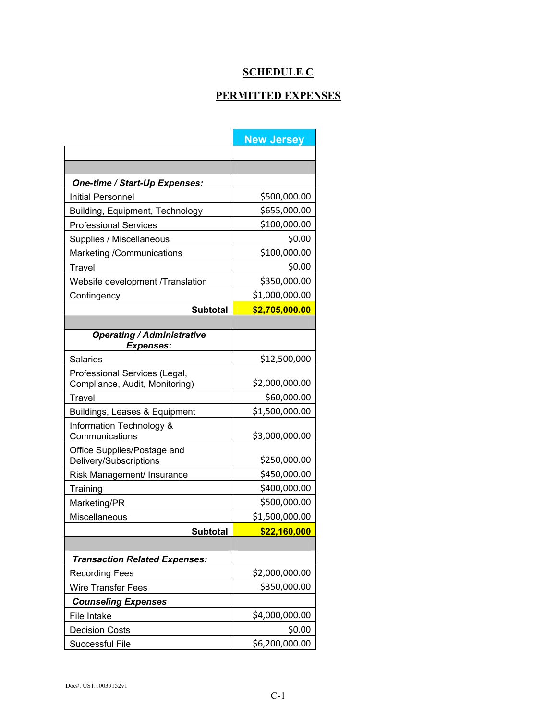# **SCHEDULE C**

### **PERMITTED EXPENSES**

|                                                       | <b>New Jersey</b> |
|-------------------------------------------------------|-------------------|
|                                                       |                   |
|                                                       |                   |
| One-time / Start-Up Expenses:                         |                   |
| Initial Personnel                                     | \$500,000.00      |
| Building, Equipment, Technology                       | \$655,000.00      |
| <b>Professional Services</b>                          | \$100,000.00      |
| Supplies / Miscellaneous                              | \$0.00            |
| Marketing /Communications                             | \$100,000.00      |
| Travel                                                | \$0.00            |
| Website development /Translation                      | \$350,000.00      |
| Contingency                                           | \$1,000,000.00    |
| <b>Subtotal</b>                                       | \$2,705,000.00    |
|                                                       |                   |
| <b>Operating / Administrative</b><br><b>Expenses:</b> |                   |
| <b>Salaries</b>                                       | \$12,500,000      |
| Professional Services (Legal,                         |                   |
| Compliance, Audit, Monitoring)                        | \$2,000,000.00    |
| Travel                                                | \$60,000.00       |
| Buildings, Leases & Equipment                         | \$1,500,000.00    |
| Information Technology &<br>Communications            | \$3,000,000.00    |
| Office Supplies/Postage and<br>Delivery/Subscriptions | \$250,000.00      |
| Risk Management/ Insurance                            | \$450,000.00      |
| Training                                              | \$400,000.00      |
| Marketing/PR                                          | \$500,000.00      |
| Miscellaneous                                         | \$1,500,000.00    |
| <b>Subtotal</b>                                       | \$22,160,000      |
|                                                       |                   |
| <b>Transaction Related Expenses:</b>                  |                   |
| <b>Recording Fees</b>                                 | \$2,000,000.00    |
| <b>Wire Transfer Fees</b>                             | \$350,000.00      |
| <b>Counseling Expenses</b>                            |                   |
| File Intake                                           | \$4,000,000.00    |
| <b>Decision Costs</b>                                 | \$0.00            |
| Successful File                                       | \$6,200,000.00    |